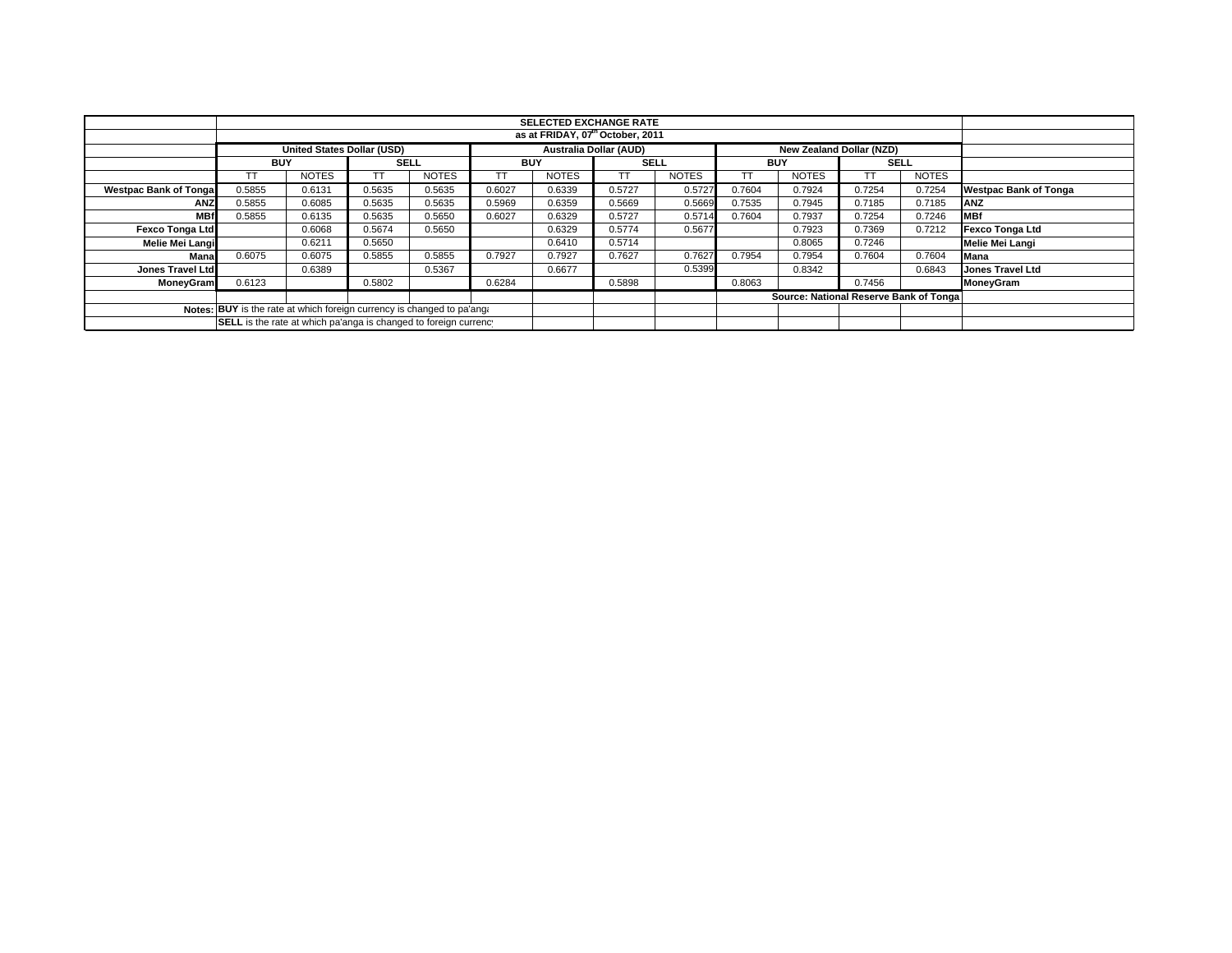|                              | <b>SELECTED EXCHANGE RATE</b><br>as at FRIDAY, 07 <sup>th</sup> October, 2011                  |              |             |              |            |              |             |              |            |                                        |             |              |                              |
|------------------------------|------------------------------------------------------------------------------------------------|--------------|-------------|--------------|------------|--------------|-------------|--------------|------------|----------------------------------------|-------------|--------------|------------------------------|
|                              |                                                                                                |              |             |              |            |              |             |              |            |                                        |             |              |                              |
|                              | <b>United States Dollar (USD)</b><br>Australia Dollar (AUD)<br><b>New Zealand Dollar (NZD)</b> |              |             |              |            |              |             |              |            |                                        |             |              |                              |
|                              | <b>BUY</b>                                                                                     |              | <b>SELL</b> |              | <b>BUY</b> |              | <b>SELL</b> |              | <b>BUY</b> |                                        | <b>SELL</b> |              |                              |
|                              | TΤ                                                                                             | <b>NOTES</b> | ТT          | <b>NOTES</b> | TT         | <b>NOTES</b> |             | <b>NOTES</b> |            | <b>NOTES</b>                           |             | <b>NOTES</b> |                              |
| <b>Westpac Bank of Tonga</b> | 0.5855                                                                                         | 0.6131       | 0.5635      | 0.5635       | 0.6027     | 0.6339       | 0.5727      | 0.5727       | 0.7604     | 0.7924                                 | 0.7254      | 0.7254       | <b>Westpac Bank of Tonga</b> |
| <b>ANZ</b>                   | 0.5855                                                                                         | 0.6085       | 0.5635      | 0.5635       | 0.5969     | 0.6359       | 0.5669      | 0.5669       | 0.7535     | 0.7945                                 | 0.7185      | 0.7185       | <b>ANZ</b>                   |
| <b>MBf</b>                   | 0.5855                                                                                         | 0.6135       | 0.5635      | 0.5650       | 0.6027     | 0.6329       | 0.5727      | 0.5714       | 0.7604     | 0.7937                                 | 0.7254      | 0.7246       | <b>MBf</b>                   |
| <b>Fexco Tonga Ltd</b>       |                                                                                                | 0.6068       | 0.5674      | 0.5650       |            | 0.6329       | 0.5774      | 0.5677       |            | 0.7923                                 | 0.7369      | 0.7212       | Fexco Tonga Ltd              |
| Melie Mei Langi              |                                                                                                | 0.6211       | 0.5650      |              |            | 0.6410       | 0.5714      |              |            | 0.8065                                 | 0.7246      |              | Melie Mei Langi              |
| Mana                         | 0.6075                                                                                         | 0.6075       | 0.5855      | 0.5855       | 0.7927     | 0.7927       | 0.7627      | 0.7627       | 0.7954     | 0.7954                                 | 0.7604      | 0.7604       | <b>Mana</b>                  |
| Jones Travel Ltd             |                                                                                                | 0.6389       |             | 0.5367       |            | 0.6677       |             | 0.5399       |            | 0.8342                                 |             | 0.6843       | <b>Jones Travel Ltd</b>      |
| <b>MoneyGram</b>             | 0.6123                                                                                         |              | 0.5802      |              | 0.6284     |              | 0.5898      |              | 0.8063     |                                        | 0.7456      |              | MoneyGram                    |
|                              |                                                                                                |              |             |              |            |              |             |              |            | Source: National Reserve Bank of Tonga |             |              |                              |
|                              | Notes: BUY is the rate at which foreign currency is changed to pa'ang.                         |              |             |              |            |              |             |              |            |                                        |             |              |                              |
|                              | SELL is the rate at which pa'anga is changed to foreign currency                               |              |             |              |            |              |             |              |            |                                        |             |              |                              |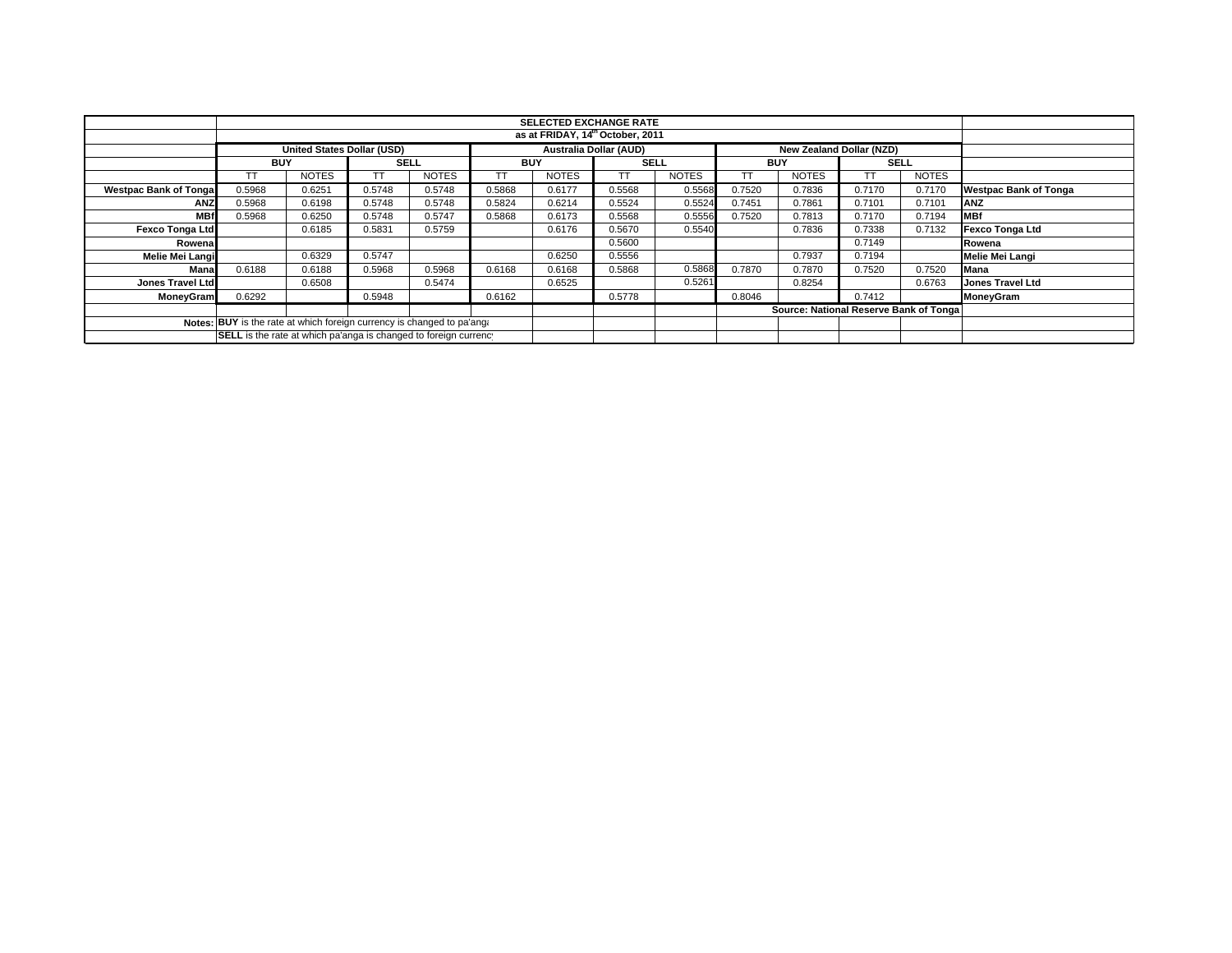|                                                                        |                                                                                                |              |             |              |            |              | <b>SELECTED EXCHANGE RATE</b><br>as at FRIDAY, 14 <sup>th</sup> October, 2011 |                                        |            |              |             |              |                              |
|------------------------------------------------------------------------|------------------------------------------------------------------------------------------------|--------------|-------------|--------------|------------|--------------|-------------------------------------------------------------------------------|----------------------------------------|------------|--------------|-------------|--------------|------------------------------|
|                                                                        |                                                                                                |              |             |              |            |              |                                                                               |                                        |            |              |             |              |                              |
|                                                                        | <b>Australia Dollar (AUD)</b><br><b>United States Dollar (USD)</b><br>New Zealand Dollar (NZD) |              |             |              |            |              |                                                                               |                                        |            |              |             |              |                              |
|                                                                        | <b>BUY</b>                                                                                     |              | <b>SELL</b> |              | <b>BUY</b> |              | SELL                                                                          |                                        | <b>BUY</b> |              | <b>SELL</b> |              |                              |
|                                                                        |                                                                                                | <b>NOTES</b> |             | <b>NOTES</b> |            | <b>NOTES</b> | TТ                                                                            | <b>NOTES</b>                           | TТ         | <b>NOTES</b> | TT          | <b>NOTES</b> |                              |
| <b>Westpac Bank of Tongal</b>                                          | 0.5968                                                                                         | 0.6251       | 0.5748      | 0.5748       | 0.5868     | 0.6177       | 0.5568                                                                        | 0.5568                                 | 0.7520     | 0.7836       | 0.7170      | 0.7170       | <b>Westpac Bank of Tonga</b> |
| <b>ANZ</b>                                                             | 0.5968                                                                                         | 0.6198       | 0.5748      | 0.5748       | 0.5824     | 0.6214       | 0.5524                                                                        | 0.5524                                 | 0.7451     | 0.7861       | 0.7101      | 0.7101       | ANZ                          |
| <b>MBf</b>                                                             | 0.5968                                                                                         | 0.6250       | 0.5748      | 0.5747       | 0.5868     | 0.6173       | 0.5568                                                                        | 0.5556                                 | 0.7520     | 0.7813       | 0.7170      | 0.7194       | <b>MBf</b>                   |
| <b>Fexco Tonga Ltd</b>                                                 |                                                                                                | 0.6185       | 0.5831      | 0.5759       |            | 0.6176       | 0.5670                                                                        | 0.5540                                 |            | 0.7836       | 0.7338      | 0.7132       | <b>Fexco Tonga Ltd</b>       |
| Rowenal                                                                |                                                                                                |              |             |              |            |              | 0.5600                                                                        |                                        |            |              | 0.7149      |              | Rowena                       |
| Melie Mei Langi                                                        |                                                                                                | 0.6329       | 0.5747      |              |            | 0.6250       | 0.5556                                                                        |                                        |            | 0.7937       | 0.7194      |              | Melie Mei Langi              |
| Mana                                                                   | 0.6188                                                                                         | 0.6188       | 0.5968      | 0.5968       | 0.6168     | 0.6168       | 0.5868                                                                        | 0.5868                                 | 0.7870     | 0.7870       | 0.7520      | 0.7520       | Mana                         |
| Jones Travel Ltd                                                       |                                                                                                | 0.6508       |             | 0.5474       |            | 0.6525       |                                                                               | 0.5261                                 |            | 0.8254       |             | 0.6763       | <b>Jones Travel Ltd</b>      |
| <b>MoneyGram</b>                                                       | 0.6292                                                                                         |              | 0.5948      |              | 0.6162     |              | 0.5778                                                                        |                                        | 0.8046     |              | 0.7412      |              | MoneyGram                    |
|                                                                        |                                                                                                |              |             |              |            |              |                                                                               | Source: National Reserve Bank of Tonga |            |              |             |              |                              |
| Notes: BUY is the rate at which foreign currency is changed to pa'ang. |                                                                                                |              |             |              |            |              |                                                                               |                                        |            |              |             |              |                              |
|                                                                        | SELL is the rate at which pa'anga is changed to foreign currency                               |              |             |              |            |              |                                                                               |                                        |            |              |             |              |                              |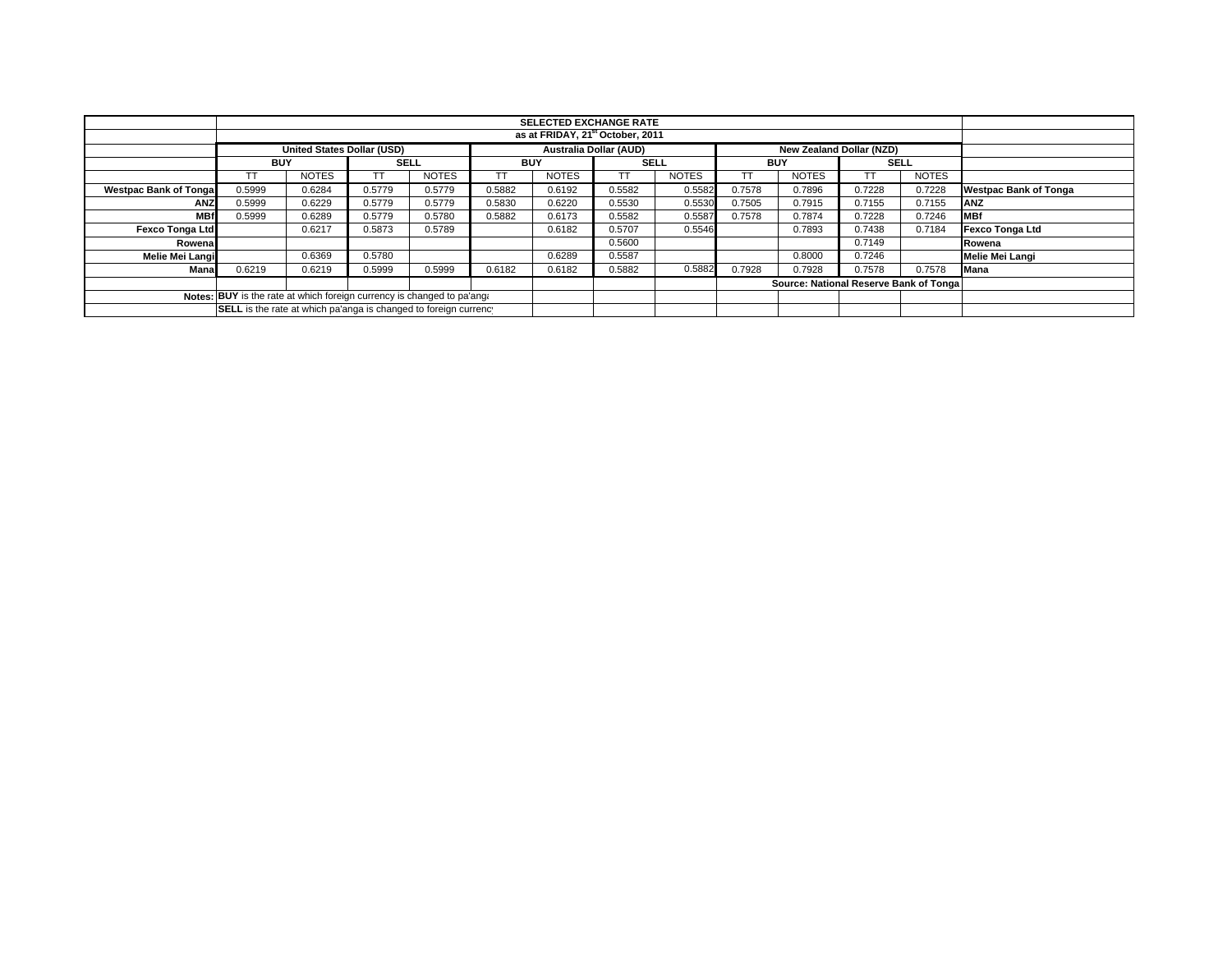|                              | <b>SELECTED EXCHANGE RATE</b>                                                                  |              |        |              |        |              |        |              |        |                                        |        |              |                              |
|------------------------------|------------------------------------------------------------------------------------------------|--------------|--------|--------------|--------|--------------|--------|--------------|--------|----------------------------------------|--------|--------------|------------------------------|
|                              |                                                                                                |              |        |              |        |              |        |              |        |                                        |        |              |                              |
|                              | <b>Australia Dollar (AUD)</b><br><b>United States Dollar (USD)</b><br>New Zealand Dollar (NZD) |              |        |              |        |              |        |              |        |                                        |        |              |                              |
|                              | <b>BUY</b>                                                                                     |              |        | <b>SELL</b>  |        | <b>BUY</b>   |        | <b>SELL</b>  |        | <b>BUY</b>                             |        | <b>SELL</b>  |                              |
|                              |                                                                                                | <b>NOTES</b> | ТT     | <b>NOTES</b> | TT     | <b>NOTES</b> | ТT     | <b>NOTES</b> |        | <b>NOTES</b>                           |        | <b>NOTES</b> |                              |
| <b>Westpac Bank of Tonga</b> | 0.5999                                                                                         | 0.6284       | 0.5779 | 0.5779       | 0.5882 | 0.6192       | 0.5582 | 0.5582       | 0.7578 | 0.7896                                 | 0.7228 | 0.7228       | <b>Westpac Bank of Tonga</b> |
| <b>ANZ</b>                   | 0.5999                                                                                         | 0.6229       | 0.5779 | 0.5779       | 0.5830 | 0.6220       | 0.5530 | 0.5530       | 0.7505 | 0.7915                                 | 0.7155 | 0.7155       | ANZ                          |
| <b>MBf</b>                   | 0.5999                                                                                         | 0.6289       | 0.5779 | 0.5780       | 0.5882 | 0.6173       | 0.5582 | 0.5587       | 0.7578 | 0.7874                                 | 0.7228 | 0.7246       | <b>IMBf</b>                  |
| Fexco Tonga Ltd              |                                                                                                | 0.6217       | 0.5873 | 0.5789       |        | 0.6182       | 0.5707 | 0.5546       |        | 0.7893                                 | 0.7438 | 0.7184       | Fexco Tonga Ltd              |
| Rowena                       |                                                                                                |              |        |              |        |              | 0.5600 |              |        |                                        | 0.7149 |              | Rowena                       |
| Melie Mei Langi              |                                                                                                | 0.6369       | 0.5780 |              |        | 0.6289       | 0.5587 |              |        | 0.8000                                 | 0.7246 |              | Melie Mei Langi              |
| Mana                         | 0.6219                                                                                         | 0.6219       | 0.5999 | 0.5999       | 0.6182 | 0.6182       | 0.5882 | 0.5882       | 0.7928 | 0.7928                                 | 0.7578 | 0.7578       | <b>Mana</b>                  |
|                              |                                                                                                |              |        |              |        |              |        |              |        | Source: National Reserve Bank of Tonga |        |              |                              |
|                              | Notes: BUY is the rate at which foreign currency is changed to pa'ang.                         |              |        |              |        |              |        |              |        |                                        |        |              |                              |
|                              | SELL is the rate at which pa'anga is changed to foreign currency                               |              |        |              |        |              |        |              |        |                                        |        |              |                              |